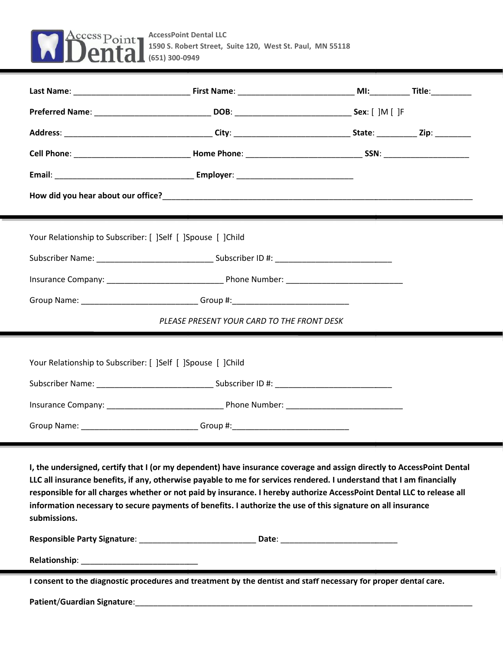

| Your Relationship to Subscriber: [ ]Self [ ]Spouse [ ]Child                                                                                                                                                                               |                                            |  |  |  |
|-------------------------------------------------------------------------------------------------------------------------------------------------------------------------------------------------------------------------------------------|--------------------------------------------|--|--|--|
|                                                                                                                                                                                                                                           |                                            |  |  |  |
|                                                                                                                                                                                                                                           |                                            |  |  |  |
| Group Name: ______________________________Group #:______________________________                                                                                                                                                          |                                            |  |  |  |
|                                                                                                                                                                                                                                           | PLEASE PRESENT YOUR CARD TO THE FRONT DESK |  |  |  |
| Your Relationship to Subscriber: [ ]Self [ ]Spouse [ ]Child                                                                                                                                                                               |                                            |  |  |  |
|                                                                                                                                                                                                                                           |                                            |  |  |  |
|                                                                                                                                                                                                                                           |                                            |  |  |  |
| Group Name: _________________________________Group #:___________________________                                                                                                                                                          |                                            |  |  |  |
| I, the undersigned, certify that I (or my dependent) have insurance coverage and assign directly to AccessPoint Dental<br>the contract of the contract of the contract of the contract of the contract of the contract of the contract of |                                            |  |  |  |

**LLC all insurance benefits, if any, otherwise payable to me for services rendered. I understand that I am financially responsible for all charges whether or not paid by insurance. I hereby authorize AccessPoint Dental LLC to release all** responsible for all charges whether or not paid by insurance. I hereby authorize AccessPoint Dental LLC to release all<br>information necessary to secure payments of benefits. I authorize the use of this signature on all insu **submissions. submissions.**

| <b>Responsible Party Signature:</b> | Date:                                                                                                           |  |
|-------------------------------------|-----------------------------------------------------------------------------------------------------------------|--|
| <b>Relationship:</b>                |                                                                                                                 |  |
|                                     | I consent to the diagnostic procedures and treatment by the dentist and staff necessary for proper dental care. |  |

**Patient**/**Guardian Signature**:\_\_\_\_\_\_\_\_\_\_\_\_\_\_\_\_\_\_\_\_\_\_\_\_\_\_\_\_\_\_\_\_\_\_\_\_\_\_\_\_\_\_\_\_\_\_\_\_\_\_\_\_\_\_\_\_\_\_\_\_\_\_\_\_\_\_\_\_\_\_\_\_\_\_\_